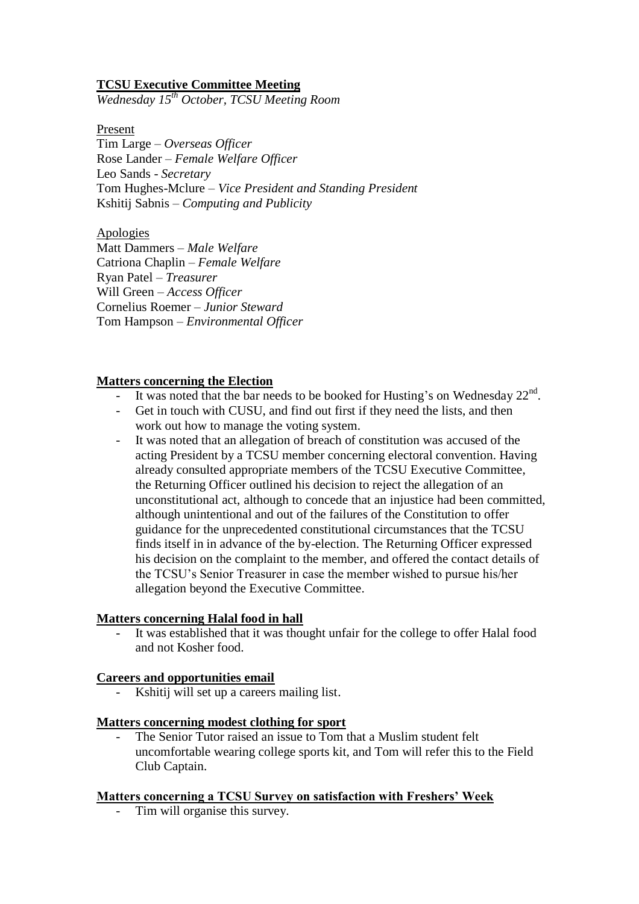### **TCSU Executive Committee Meeting**

*Wednesday 15th October, TCSU Meeting Room*

Present

Tim Large – *Overseas Officer* Rose Lander – *Female Welfare Officer* Leo Sands - *Secretary* Tom Hughes-Mclure – *Vice President and Standing President* Kshitij Sabnis – *Computing and Publicity*

Apologies Matt Dammers – *Male Welfare* Catriona Chaplin – *Female Welfare* Ryan Patel – *Treasurer* Will Green – *Access Officer* Cornelius Roemer – *Junior Steward* Tom Hampson – *Environmental Officer*

## **Matters concerning the Election**

- It was noted that the bar needs to be booked for Husting's on Wednesday  $22<sup>nd</sup>$ .
- Get in touch with CUSU, and find out first if they need the lists, and then work out how to manage the voting system.
- It was noted that an allegation of breach of constitution was accused of the acting President by a TCSU member concerning electoral convention. Having already consulted appropriate members of the TCSU Executive Committee, the Returning Officer outlined his decision to reject the allegation of an unconstitutional act, although to concede that an injustice had been committed, although unintentional and out of the failures of the Constitution to offer guidance for the unprecedented constitutional circumstances that the TCSU finds itself in in advance of the by-election. The Returning Officer expressed his decision on the complaint to the member, and offered the contact details of the TCSU's Senior Treasurer in case the member wished to pursue his/her allegation beyond the Executive Committee.

### **Matters concerning Halal food in hall**

It was established that it was thought unfair for the college to offer Halal food and not Kosher food.

### **Careers and opportunities email**

Kshitij will set up a careers mailing list.

### **Matters concerning modest clothing for sport**

The Senior Tutor raised an issue to Tom that a Muslim student felt uncomfortable wearing college sports kit, and Tom will refer this to the Field Club Captain.

# **Matters concerning a TCSU Survey on satisfaction with Freshers' Week**

- Tim will organise this survey.